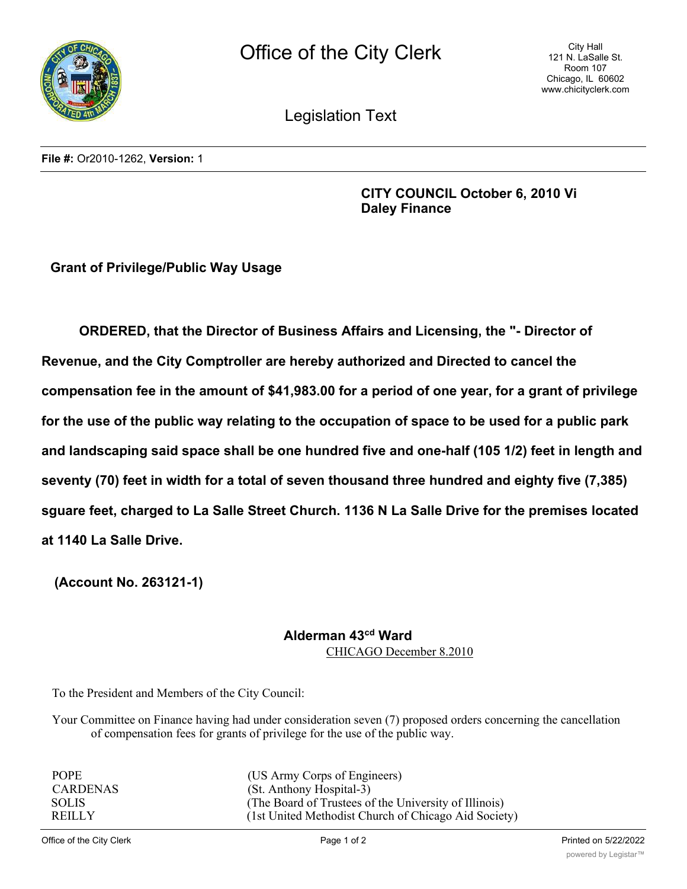

City Hall 121 N. LaSalle St. Room 107 Chicago, IL 60602 www.chicityclerk.com

Legislation Text

**File #:** Or2010-1262, **Version:** 1

**CITY COUNCIL October 6, 2010 Vi Daley Finance**

**Grant of Privilege/Public Way Usage**

**ORDERED, that the Director of Business Affairs and Licensing, the "- Director of Revenue, and the City Comptroller are hereby authorized and Directed to cancel the compensation fee in the amount of \$41,983.00 for a period of one year, for a grant of privilege for the use of the public way relating to the occupation of space to be used for a public park and landscaping said space shall be one hundred five and one-half (105 1/2) feet in length and seventy (70) feet in width for a total of seven thousand three hundred and eighty five (7,385) sguare feet, charged to La Salle Street Church. 1136 N La Salle Drive for the premises located at 1140 La Salle Drive.**

**(Account No. 263121-1)**

## **Alderman 43cd Ward**

CHICAGO December 8.2010

To the President and Members of the City Council:

Your Committee on Finance having had under consideration seven (7) proposed orders concerning the cancellation of compensation fees for grants of privilege for the use of the public way.

| <b>POPE</b>     | (US Army Corps of Engineers)                          |
|-----------------|-------------------------------------------------------|
| <b>CARDENAS</b> | (St. Anthony Hospital-3)                              |
| <b>SOLIS</b>    | (The Board of Trustees of the University of Illinois) |
| <b>REILLY</b>   | (1st United Methodist Church of Chicago Aid Society)  |